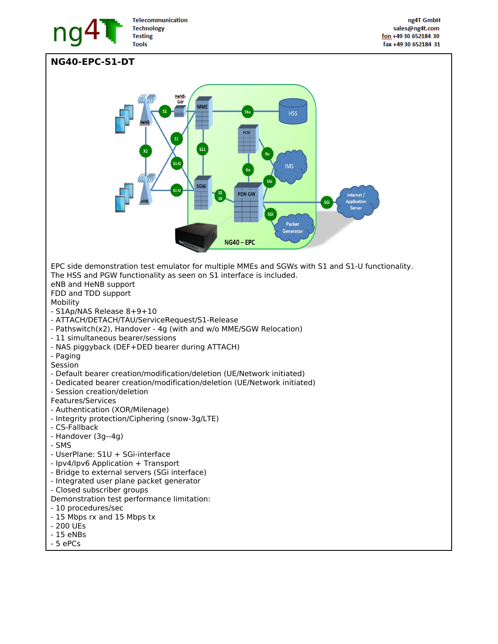

## **NG40-EPC-S1-DT**

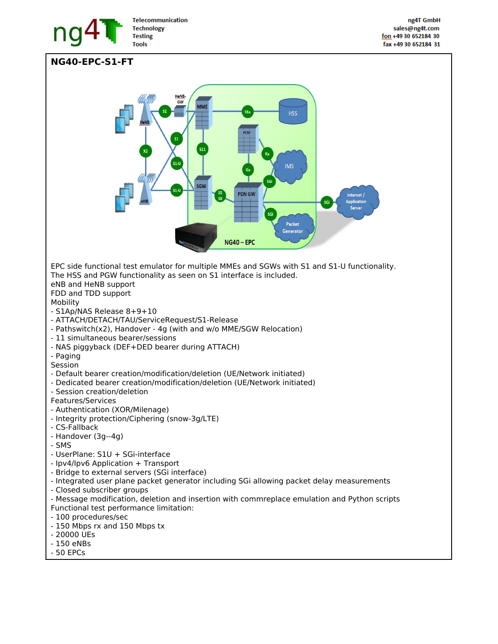

## **NG40-EPC-S1-FT VIIVI HSS**  $s1-l$ **IMS**  $s1-$ **PDN GW** Internet / **Applicatio** Server ٢Ġ Packet Generator  $NG40 - EPC$ EPC side functional test emulator for multiple MMEs and SGWs with S1 and S1-U functionality. The HSS and PGW functionality as seen on S1 interface is included. eNB and HeNB support FDD and TDD support Mobility - S1Ap/NAS Release 8+9+10 - ATTACH/DETACH/TAU/ServiceRequest/S1-Release - Pathswitch(x2), Handover - 4g (with and w/o MME/SGW Relocation) - 11 simultaneous bearer/sessions - NAS piggyback (DEF+DED bearer during ATTACH) - Paging Session - Default bearer creation/modification/deletion (UE/Network initiated) - Dedicated bearer creation/modification/deletion (UE/Network initiated) - Session creation/deletion Features/Services - Authentication (XOR/Milenage) - Integrity protection/Ciphering (snow-3g/LTE) - CS-Fallback - Handover (3g--4g) - SMS - UserPlane: S1U + SGi-interface - Ipv4/Ipv6 Application + Transport - Bridge to external servers (SGi interface) - Integrated user plane packet generator including SGi allowing packet delay measurements - Closed subscriber groups - Message modification, deletion and insertion with commreplace emulation and Python scripts Functional test performance limitation: - 100 procedures/sec - 150 Mbps rx and 150 Mbps tx - 20000 UEs - 150 eNBs

- 50 EPCs